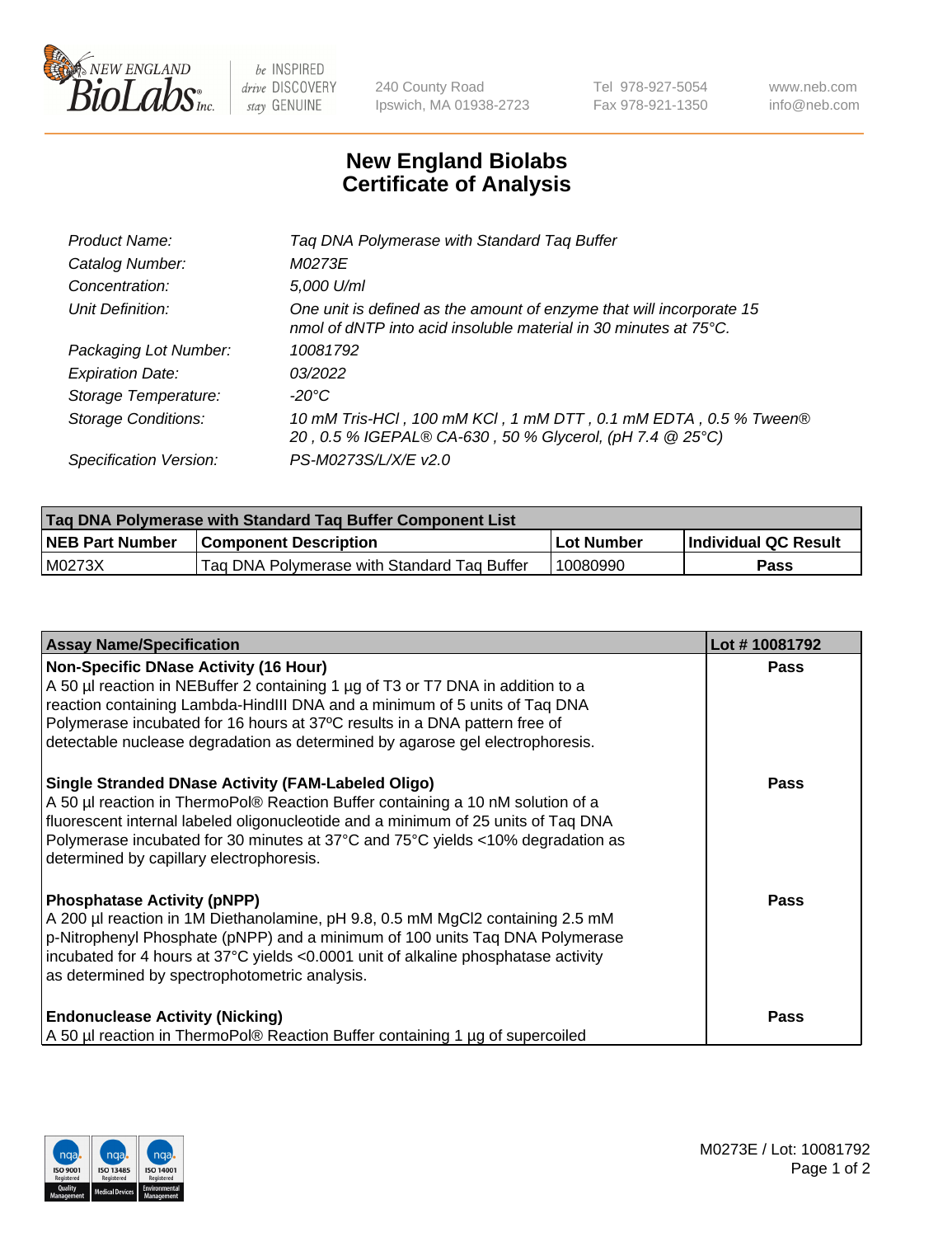

 $be$  INSPIRED drive DISCOVERY stay GENUINE

240 County Road Ipswich, MA 01938-2723 Tel 978-927-5054 Fax 978-921-1350 www.neb.com info@neb.com

## **New England Biolabs Certificate of Analysis**

| Product Name:              | Tag DNA Polymerase with Standard Tag Buffer                                                                                              |
|----------------------------|------------------------------------------------------------------------------------------------------------------------------------------|
| Catalog Number:            | M0273E                                                                                                                                   |
| Concentration:             | 5,000 U/ml                                                                                                                               |
| Unit Definition:           | One unit is defined as the amount of enzyme that will incorporate 15<br>nmol of dNTP into acid insoluble material in 30 minutes at 75°C. |
| Packaging Lot Number:      | 10081792                                                                                                                                 |
| <b>Expiration Date:</b>    | 03/2022                                                                                                                                  |
| Storage Temperature:       | $-20^{\circ}$ C                                                                                                                          |
| <b>Storage Conditions:</b> | 10 mM Tris-HCl, 100 mM KCl, 1 mM DTT, 0.1 mM EDTA, 0.5 % Tween®<br>20, 0.5 % IGEPAL® CA-630, 50 % Glycerol, (pH 7.4 @ 25°C)              |
| Specification Version:     | PS-M0273S/L/X/E v2.0                                                                                                                     |

| Tag DNA Polymerase with Standard Tag Buffer Component List |                                             |              |                      |  |
|------------------------------------------------------------|---------------------------------------------|--------------|----------------------|--|
| <b>NEB Part Number</b>                                     | <b>Component Description</b>                | l Lot Number | Individual QC Result |  |
| M0273X                                                     | Tag DNA Polymerase with Standard Tag Buffer | 10080990     | Pass                 |  |

| <b>Assay Name/Specification</b>                                                                                                                                                                                                                                                                                                                                              | Lot #10081792 |
|------------------------------------------------------------------------------------------------------------------------------------------------------------------------------------------------------------------------------------------------------------------------------------------------------------------------------------------------------------------------------|---------------|
| <b>Non-Specific DNase Activity (16 Hour)</b><br>A 50 µl reaction in NEBuffer 2 containing 1 µg of T3 or T7 DNA in addition to a<br>reaction containing Lambda-HindIII DNA and a minimum of 5 units of Taq DNA<br>Polymerase incubated for 16 hours at 37°C results in a DNA pattern free of<br>detectable nuclease degradation as determined by agarose gel electrophoresis. | Pass          |
| <b>Single Stranded DNase Activity (FAM-Labeled Oligo)</b><br>A 50 µl reaction in ThermoPol® Reaction Buffer containing a 10 nM solution of a<br>fluorescent internal labeled oligonucleotide and a minimum of 25 units of Taq DNA<br>Polymerase incubated for 30 minutes at 37°C and 75°C yields <10% degradation as<br>determined by capillary electrophoresis.             | <b>Pass</b>   |
| <b>Phosphatase Activity (pNPP)</b><br>A 200 µl reaction in 1M Diethanolamine, pH 9.8, 0.5 mM MgCl2 containing 2.5 mM<br>p-Nitrophenyl Phosphate (pNPP) and a minimum of 100 units Taq DNA Polymerase<br>incubated for 4 hours at 37°C yields <0.0001 unit of alkaline phosphatase activity<br>as determined by spectrophotometric analysis.                                  | <b>Pass</b>   |
| <b>Endonuclease Activity (Nicking)</b><br>A 50 µl reaction in ThermoPol® Reaction Buffer containing 1 µg of supercoiled                                                                                                                                                                                                                                                      | Pass          |